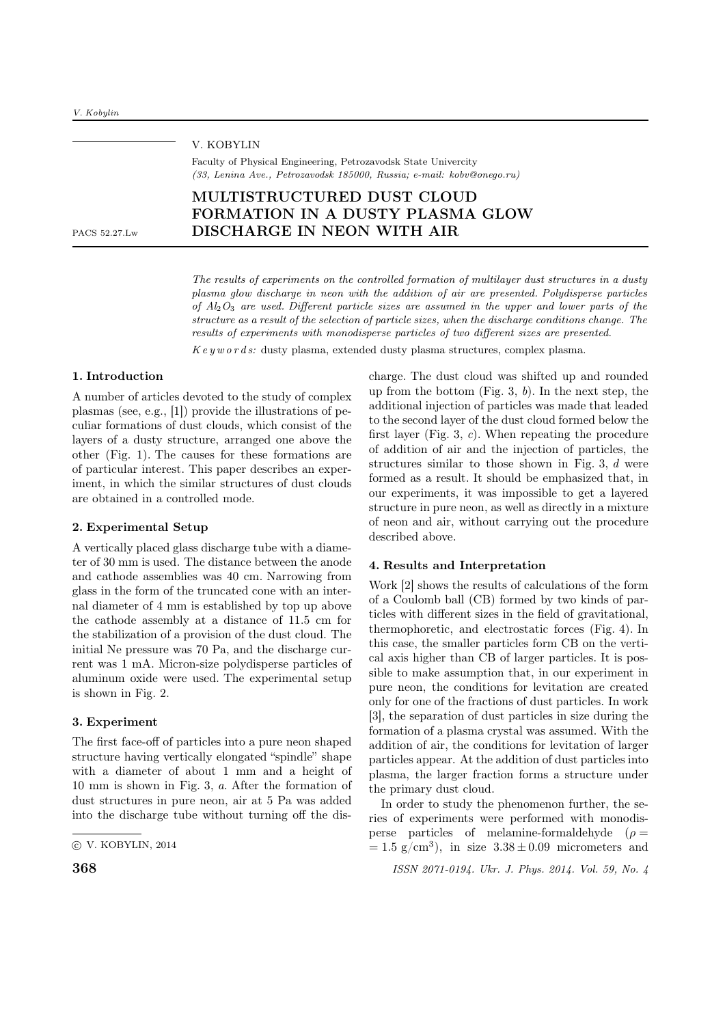| PACS 52.27.Lw | V. KOBYLIN<br>Faculty of Physical Engineering, Petrozavodsk State Univercity<br>$(33, Lenina Ave., Petrozavodsk 185000, Russia, e-mail: kobv@oneqo.ru)$ |  |
|---------------|---------------------------------------------------------------------------------------------------------------------------------------------------------|--|
|               | MULTISTRUCTURED DUST CLOUD<br>FORMATION IN A DUSTY PLASMA GLOW<br>DISCHARGE IN NEON WITH AIR                                                            |  |
|               |                                                                                                                                                         |  |

The results of experiments on the controlled formation of multilayer dust structures in a dusty plasma glow discharge in neon with the addition of air are presented. Polydisperse particles of  $A_2O_3$  are used. Different particle sizes are assumed in the upper and lower parts of the structure as a result of the selection of particle sizes, when the discharge conditions change. The results of experiments with monodisperse particles of two different sizes are presented.  $Key words:$  dusty plasma, extended dusty plasma structures, complex plasma.

## 1. Introduction

A number of articles devoted to the study of complex plasmas (see, e.g., [1]) provide the illustrations of peculiar formations of dust clouds, which consist of the layers of a dusty structure, arranged one above the other (Fig. 1). The causes for these formations are of particular interest. This paper describes an experiment, in which the similar structures of dust clouds are obtained in a controlled mode.

## 2. Experimental Setup

A vertically placed glass discharge tube with a diameter of 30 mm is used. The distance between the anode and cathode assemblies was 40 cm. Narrowing from glass in the form of the truncated cone with an internal diameter of 4 mm is established by top up above the cathode assembly at a distance of 11.5 cm for the stabilization of a provision of the dust cloud. The initial Ne pressure was 70 Pa, and the discharge current was 1 mA. Micron-size polydisperse particles of aluminum oxide were used. The experimental setup is shown in Fig. 2.

#### 3. Experiment

The first face-off of particles into a pure neon shaped structure having vertically elongated "spindle" shape with a diameter of about 1 mm and a height of 10 mm is shown in Fig. 3, a. After the formation of dust structures in pure neon, air at 5 Pa was added into the discharge tube without turning off the dis-

charge. The dust cloud was shifted up and rounded up from the bottom (Fig. 3,  $b$ ). In the next step, the additional injection of particles was made that leaded to the second layer of the dust cloud formed below the first layer (Fig. 3, c). When repeating the procedure of addition of air and the injection of particles, the structures similar to those shown in Fig. 3, d were formed as a result. It should be emphasized that, in our experiments, it was impossible to get a layered structure in pure neon, as well as directly in a mixture of neon and air, without carrying out the procedure described above.

# 4. Results and Interpretation

Work [2] shows the results of calculations of the form of a Coulomb ball (CB) formed by two kinds of particles with different sizes in the field of gravitational, thermophoretic, and electrostatic forces (Fig. 4). In this case, the smaller particles form CB on the vertical axis higher than CB of larger particles. It is possible to make assumption that, in our experiment in pure neon, the conditions for levitation are created only for one of the fractions of dust particles. In work [3], the separation of dust particles in size during the formation of a plasma crystal was assumed. With the addition of air, the conditions for levitation of larger particles appear. At the addition of dust particles into plasma, the larger fraction forms a structure under the primary dust cloud.

In order to study the phenomenon further, the series of experiments were performed with monodisperse particles of melamine-formaldehyde ( $\rho =$  $= 1.5$  g/cm<sup>3</sup>), in size  $3.38 \pm 0.09$  micrometers and

**368 ISSN 2071-0194. Ukr. J. Phys. 2014. Vol. 59, No. 4** 

<sup>○</sup>c V. KOBYLIN, 2014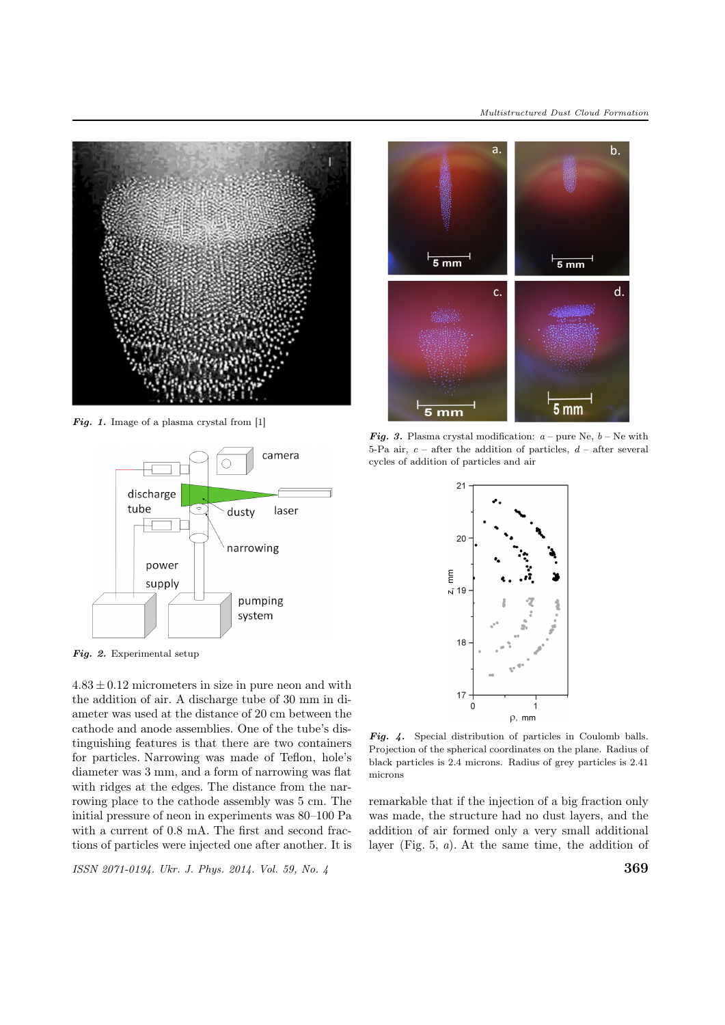

Fig. 1. Image of a plasma crystal from [1]



Fig. 2. Experimental setup

 $4.83 \pm 0.12$  micrometers in size in pure neon and with the addition of air. A discharge tube of 30 mm in diameter was used at the distance of 20 cm between the cathode and anode assemblies. One of the tube's distinguishing features is that there are two containers for particles. Narrowing was made of Teflon, hole's diameter was 3 mm, and a form of narrowing was flat with ridges at the edges. The distance from the narrowing place to the cathode assembly was 5 cm. The initial pressure of neon in experiments was 80–100 Pa with a current of 0.8 mA. The first and second fractions of particles were injected one after another. It is

ISSN 2071-0194. Ukr. J. Phys. 2014. Vol. 59, No. 4  $369$ 



**Fig. 3.** Plasma crystal modification:  $a$  – pure Ne,  $b$  – Ne with 5-Pa air,  $c$  – after the addition of particles,  $d$  – after several cycles of addition of particles and air



Fig. 4. Special distribution of particles in Coulomb balls. Projection of the spherical coordinates on the plane. Radius of black particles is 2.4 microns. Radius of grey particles is 2.41 microns

remarkable that if the injection of a big fraction only was made, the structure had no dust layers, and the addition of air formed only a very small additional layer (Fig. 5, a). At the same time, the addition of